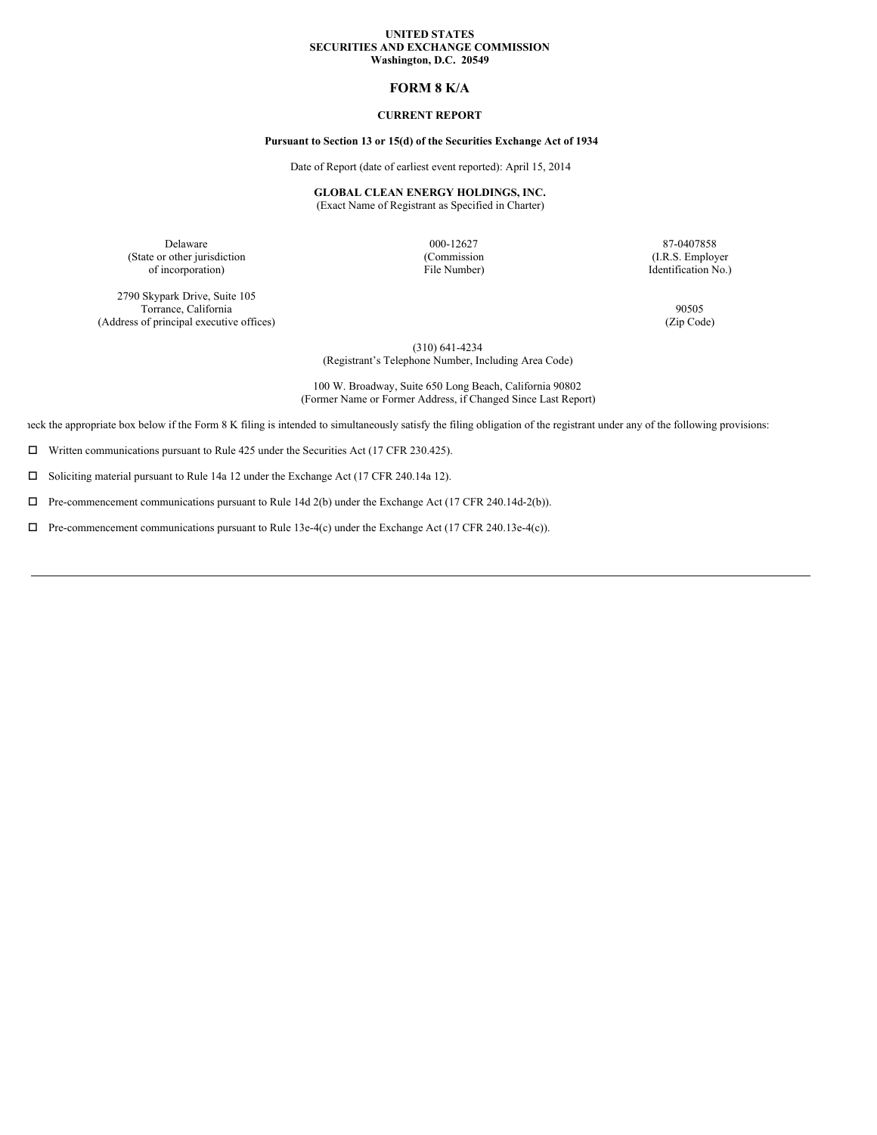#### **UNITED STATES SECURITIES AND EXCHANGE COMMISSION Washington, D.C. 20549**

## **FORM 8 K/A**

### **CURRENT REPORT**

## **Pursuant to Section 13 or 15(d) of the Securities Exchange Act of 1934**

Date of Report (date of earliest event reported): April 15, 2014

#### **GLOBAL CLEAN ENERGY HOLDINGS, INC.**

(Exact Name of Registrant as Specified in Charter)

(State or other jurisdiction (Commission (I.R.S. Employer of incorporation) File Number) Identification No.)

2790 Skypark Drive, Suite 105 Torrance, California 90505<br>
of principal executive offices) (Zip Code) (2ip Code) (Address of principal executive offices)

Delaware 000-12627 87-0407858

(310) 641-4234

(Registrant's Telephone Number, Including Area Code)

100 W. Broadway, Suite 650 Long Beach, California 90802 (Former Name or Former Address, if Changed Since Last Report)

neck the appropriate box below if the Form 8 K filing is intended to simultaneously satisfy the filing obligation of the registrant under any of the following provisions:

 $\square$  Written communications pursuant to Rule 425 under the Securities Act (17 CFR 230.425).

 $\square$  Soliciting material pursuant to Rule 14a 12 under the Exchange Act (17 CFR 240.14a 12).

 $\Box$  Pre-commencement communications pursuant to Rule 14d 2(b) under the Exchange Act (17 CFR 240.14d-2(b)).

 $\Box$  Pre-commencement communications pursuant to Rule 13e-4(c) under the Exchange Act (17 CFR 240.13e-4(c)).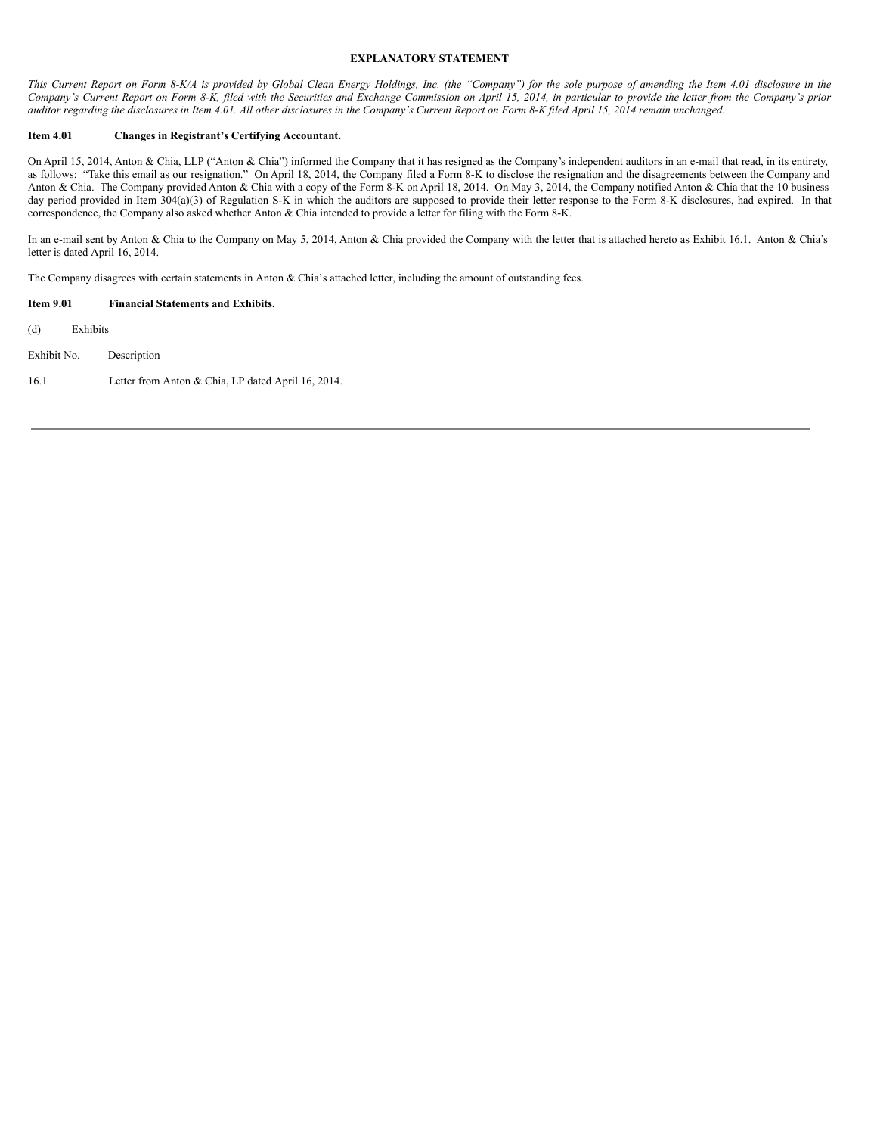#### **EXPLANATORY STATEMENT**

This Current Report on Form 8-K/A is provided by Global Clean Energy Holdings, Inc. (the "Company") for the sole purpose of amending the Item 4.01 disclosure in the Company's Current Report on Form 8-K, filed with the Securities and Exchange Commission on April 15, 2014, in particular to provide the letter from the Company's prior auditor regarding the disclosures in Item 4.01. All other disclosures in the Company's Current Report on Form 8-K filed April 15, 2014 remain unchanged.

#### **Item 4.01 Changes in Registrant's Certifying Accountant.**

On April 15, 2014, Anton & Chia, LLP ("Anton & Chia") informed the Company that it has resigned as the Company's independent auditors in an e-mail that read, in its entirety, as follows: "Take this email as our resignation." On April 18, 2014, the Company filed a Form 8-K to disclose the resignation and the disagreements between the Company and Anton & Chia. The Company provided Anton & Chia with a copy of the Form 8-K on April 18, 2014. On May 3, 2014, the Company notified Anton & Chia that the 10 business day period provided in Item 304(a)(3) of Regulation S-K in which the auditors are supposed to provide their letter response to the Form 8-K disclosures, had expired. In that correspondence, the Company also asked whether Anton & Chia intended to provide a letter for filing with the Form 8-K.

In an e-mail sent by Anton & Chia to the Company on May 5, 2014, Anton & Chia provided the Company with the letter that is attached hereto as Exhibit 16.1. Anton & Chia's letter is dated April 16, 2014.

The Company disagrees with certain statements in Anton & Chia's attached letter, including the amount of outstanding fees.

| <b>Item 9.01</b> | <b>Financial Statements and Exhibits.</b> |  |
|------------------|-------------------------------------------|--|
|                  |                                           |  |

(d) Exhibits

Exhibit No. Description

16.1 Letter from Anton & Chia, LP dated April 16, 2014.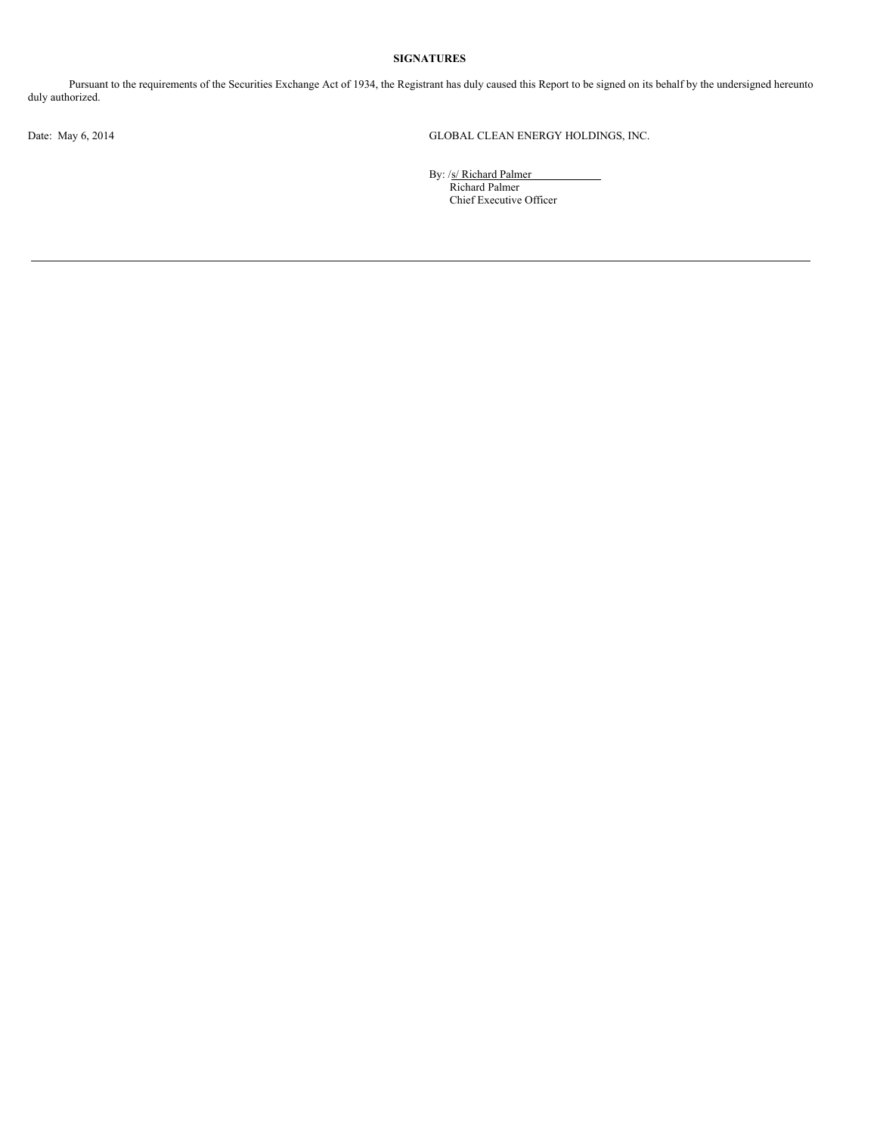## **SIGNATURES**

Pursuant to the requirements of the Securities Exchange Act of 1934, the Registrant has duly caused this Report to be signed on its behalf by the undersigned hereunto duly authorized.

Date: May 6, 2014 GLOBAL CLEAN ENERGY HOLDINGS, INC.

By: /s/ Richard Palmer Richard Palmer Chief Executive Officer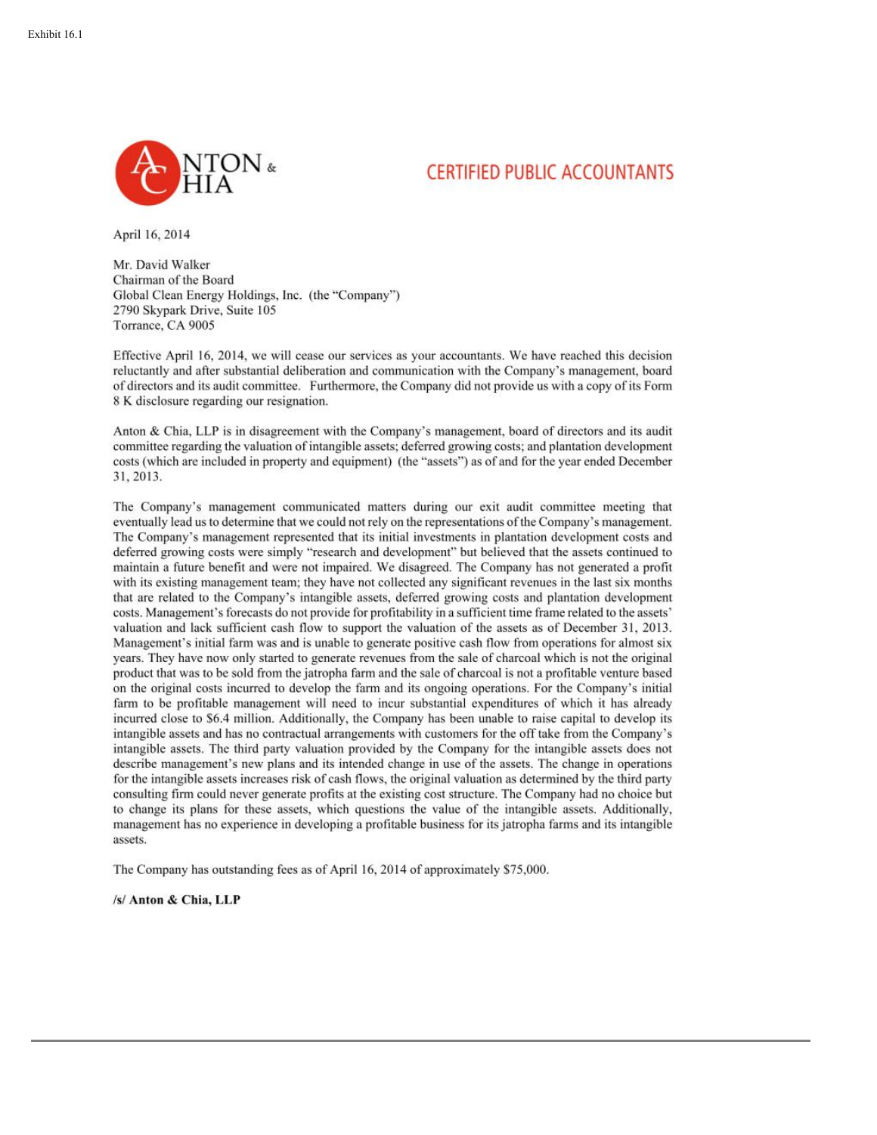

# **CERTIFIED PUBLIC ACCOUNTANTS**

April 16, 2014

Mr. David Walker Chairman of the Board Global Clean Energy Holdings, Inc. (the "Company") 2790 Skypark Drive, Suite 105 Torrance, CA 9005

Effective April 16, 2014, we will cease our services as your accountants. We have reached this decision reluctantly and after substantial deliberation and communication with the Company's management, board of directors and its audit committee. Furthermore, the Company did not provide us with a copy of its Form 8 K disclosure regarding our resignation.

Anton & Chia, LLP is in disagreement with the Company's management, board of directors and its audit committee regarding the valuation of intangible assets; deferred growing costs; and plantation development costs (which are included in property and equipment) (the "assets") as of and for the year ended December 31, 2013.

The Company's management communicated matters during our exit audit committee meeting that eventually lead us to determine that we could not rely on the representations of the Company's management. The Company's management represented that its initial investments in plantation development costs and deferred growing costs were simply "research and development" but believed that the assets continued to maintain a future benefit and were not impaired. We disagreed. The Company has not generated a profit with its existing management team; they have not collected any significant revenues in the last six months that are related to the Company's intangible assets, deferred growing costs and plantation development costs. Management's forecasts do not provide for profitability in a sufficient time frame related to the assets' valuation and lack sufficient cash flow to support the valuation of the assets as of December 31, 2013. Management's initial farm was and is unable to generate positive cash flow from operations for almost six years. They have now only started to generate revenues from the sale of charcoal which is not the original product that was to be sold from the jatropha farm and the sale of charcoal is not a profitable venture based on the original costs incurred to develop the farm and its ongoing operations. For the Company's initial farm to be profitable management will need to incur substantial expenditures of which it has already incurred close to \$6.4 million. Additionally, the Company has been unable to raise capital to develop its intangible assets and has no contractual arrangements with customers for the off take from the Company's intangible assets. The third party valuation provided by the Company for the intangible assets does not describe management's new plans and its intended change in use of the assets. The change in operations for the intangible assets increases risk of cash flows, the original valuation as determined by the third party consulting firm could never generate profits at the existing cost structure. The Company had no choice but to change its plans for these assets, which questions the value of the intangible assets. Additionally, management has no experience in developing a profitable business for its jatropha farms and its intangible assets.

The Company has outstanding fees as of April 16, 2014 of approximately \$75,000.

/s/ Anton & Chia, LLP